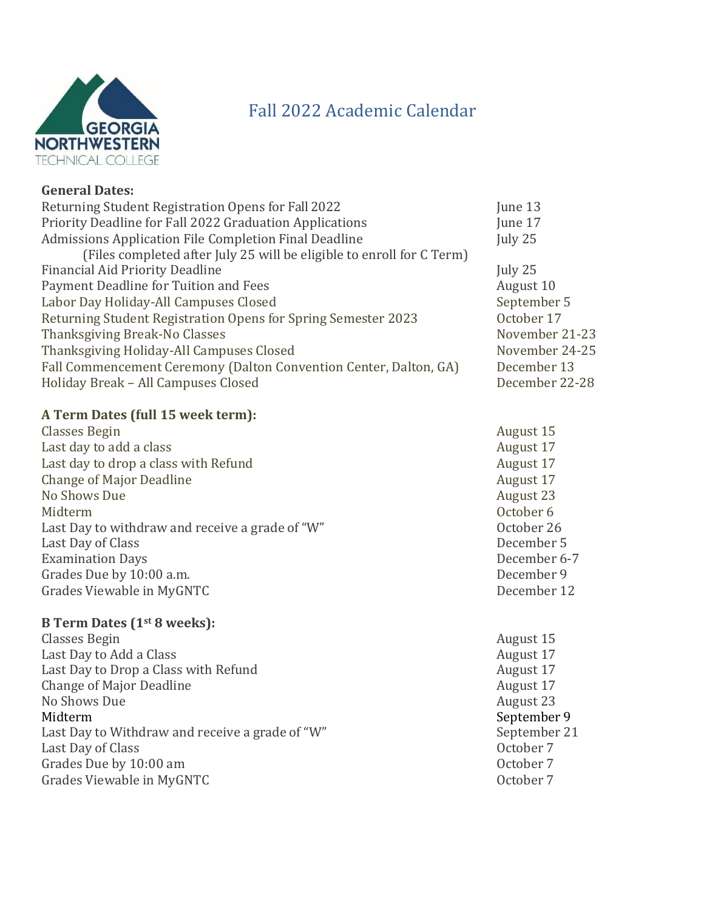

## Fall 2022 Academic Calendar

| Returning Student Registration Opens for Fall 2022                    | June 13        |
|-----------------------------------------------------------------------|----------------|
| Priority Deadline for Fall 2022 Graduation Applications               | June 17        |
| Admissions Application File Completion Final Deadline                 | July 25        |
| (Files completed after July 25 will be eligible to enroll for C Term) |                |
| Financial Aid Priority Deadline                                       | July $25$      |
| Payment Deadline for Tuition and Fees                                 | August 10      |
| Labor Day Holiday-All Campuses Closed                                 | September 5    |
| Returning Student Registration Opens for Spring Semester 2023         | October 17     |
| Thanksgiving Break-No Classes                                         | November 21-23 |
| Thanksgiving Holiday-All Campuses Closed                              | November 24-25 |
| Fall Commencement Ceremony (Dalton Convention Center, Dalton, GA)     | December 13    |
| Holiday Break - All Campuses Closed                                   | December 22-28 |
|                                                                       |                |

## **A Term Dates (full 15 week term):**

Classes Begin August 15 Last day to add a class August 17 Last day to drop a class with Refund **August 17** August 17 Change of Major Deadline **August 17** August 17 No Shows Due August 23 Midterm October 6 Last Day to withdraw and receive a grade of "W" October 26 Last Day of Class December 5 Examination Days December 6-7 Grades Due by 10:00 a.m. **December 9** Grades Viewable in MyGNTC **December 12** 

## **B Term Dates (1st 8 weeks):**

- Classes Begin August 15 Last Day to Add a Class August 17 Last Day to Drop a Class with Refund August 17 Change of Major Deadline August 17 No Shows Due August 23 Midterm September 9 Last Day to Withdraw and receive a grade of "W" September 21 Last Day of Class **Contract Contract Contract Contract Contract Contract Contract Contract Contract Contract Contract Contract Contract Contract Contract Contract Contract Contract Contract Contract Contract Contract Contr** Grades Due by 10:00 am **October 7** Grades Viewable in MyGNTC **COLLECT CONTENTS** October 7
- -